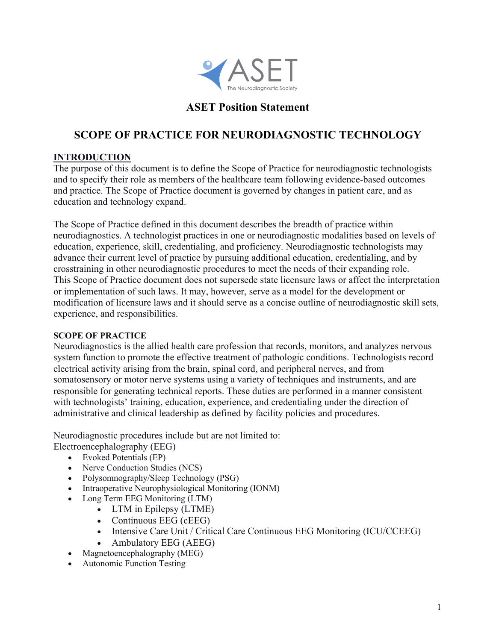

## **ASET Position Statement**

# **SCOPE OF PRACTICE FOR NEURODIAGNOSTIC TECHNOLOGY**

#### **INTRODUCTION**

The purpose of this document is to define the Scope of Practice for neurodiagnostic technologists and to specify their role as members of the healthcare team following evidence-based outcomes and practice. The Scope of Practice document is governed by changes in patient care, and as education and technology expand.

The Scope of Practice defined in this document describes the breadth of practice within neurodiagnostics. A technologist practices in one or neurodiagnostic modalities based on levels of education, experience, skill, credentialing, and proficiency. Neurodiagnostic technologists may advance their current level of practice by pursuing additional education, credentialing, and by crosstraining in other neurodiagnostic procedures to meet the needs of their expanding role. This Scope of Practice document does not supersede state licensure laws or affect the interpretation or implementation of such laws. It may, however, serve as a model for the development or modification of licensure laws and it should serve as a concise outline of neurodiagnostic skill sets, experience, and responsibilities.

#### **SCOPE OF PRACTICE**

Neurodiagnostics is the allied health care profession that records, monitors, and analyzes nervous system function to promote the effective treatment of pathologic conditions. Technologists record electrical activity arising from the brain, spinal cord, and peripheral nerves, and from somatosensory or motor nerve systems using a variety of techniques and instruments, and are responsible for generating technical reports. These duties are performed in a manner consistent with technologists' training, education, experience, and credentialing under the direction of administrative and clinical leadership as defined by facility policies and procedures.

Neurodiagnostic procedures include but are not limited to:

Electroencephalography (EEG)

- Evoked Potentials (EP)
- Nerve Conduction Studies (NCS)
- Polysomnography/Sleep Technology (PSG)
- Intraoperative Neurophysiological Monitoring (IONM)
- Long Term EEG Monitoring (LTM)
	- LTM in Epilepsy (LTME)
	- Continuous EEG (cEEG)
	- Intensive Care Unit / Critical Care Continuous EEG Monitoring (ICU/CCEEG)
	- Ambulatory EEG (AEEG)
- Magnetoencephalography (MEG)
- Autonomic Function Testing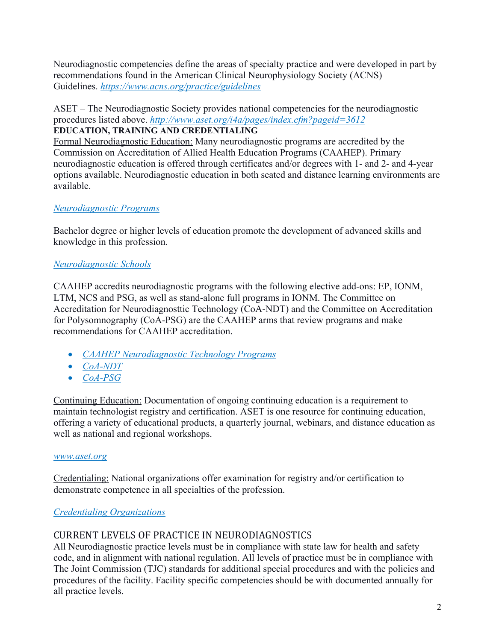Neurodiagnostic competencies define the areas of specialty practice and were developed in part by recommendations found in the American Clinical Neurophysiology Society (ACNS) Guidelines. *https://www.acns.org/practice/guidelines*

ASET – The Neurodiagnostic Society provides national competencies for the neurodiagnostic procedures listed above. *http://www.aset.org/i4a/pages/index.cfm?pageid=3612* **EDUCATION, TRAINING AND CREDENTIALING**

Formal Neurodiagnostic Education: Many neurodiagnostic programs are accredited by the Commission on Accreditation of Allied Health Education Programs (CAAHEP). Primary neurodiagnostic education is offered through certificates and/or degrees with 1- and 2- and 4-year options available. Neurodiagnostic education in both seated and distance learning environments are available.

## *Neurodiagnostic Programs*

Bachelor degree or higher levels of education promote the development of advanced skills and knowledge in this profession.

### *Neurodiagnostic Schools*

CAAHEP accredits neurodiagnostic programs with the following elective add-ons: EP, IONM, LTM, NCS and PSG, as well as stand-alone full programs in IONM. The Committee on Accreditation for Neurodiagnosttic Technology (CoA-NDT) and the Committee on Accreditation for Polysomnography (CoA-PSG) are the CAAHEP arms that review programs and make recommendations for CAAHEP accreditation.

- *CAAHEP Neurodiagnostic Technology Programs*
- *CoA-NDT*
- *CoA-PSG*

Continuing Education: Documentation of ongoing continuing education is a requirement to maintain technologist registry and certification. ASET is one resource for continuing education, offering a variety of educational products, a quarterly journal, webinars, and distance education as well as national and regional workshops.

#### *www.aset.org*

Credentialing: National organizations offer examination for registry and/or certification to demonstrate competence in all specialties of the profession.

#### *Credentialing Organizations*

## CURRENT LEVELS OF PRACTICE IN NEURODIAGNOSTICS

All Neurodiagnostic practice levels must be in compliance with state law for health and safety code, and in alignment with national regulation. All levels of practice must be in compliance with The Joint Commission (TJC) standards for additional special procedures and with the policies and procedures of the facility. Facility specific competencies should be with documented annually for all practice levels.